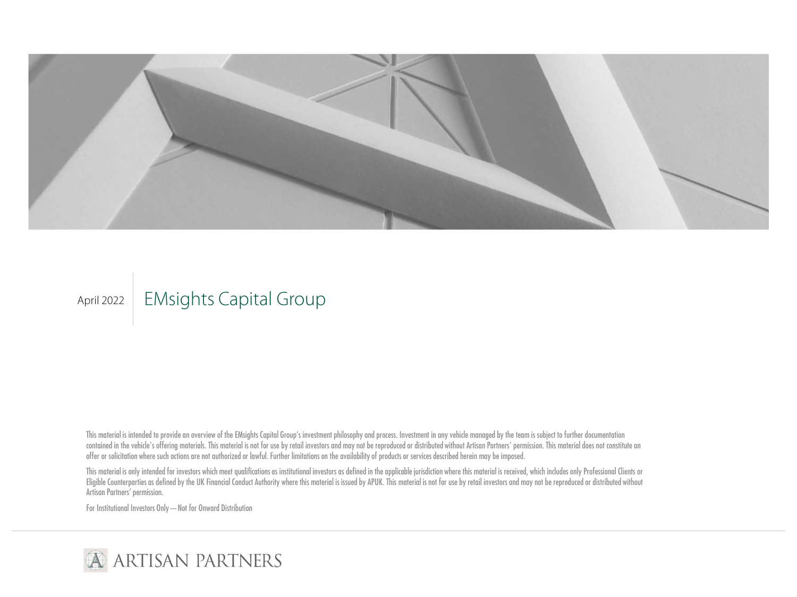

# April 2022 | EMsights Capital Group

This material is intended to provide an overview of the EMsights Capital Group's investment philosophy and process. Investment in any vehicle managed by the team is subject to further documentation contained in the vehicle's offering materials. This material is not for use by retail investors and may not be reproduced or distributed without Artisan Partners' permission. This material does not constitute an offer or solicitation where such actions are not authorized or lawful. Further limitations on the availability of products or services described herein may be imposed.

This material is only intended for investors which meet qualifications as institutional investors as defined in the applicable jurisdiction where this material is received, which includes only Professional Clients or Eligible Counterparties as defined by the UK Financial Conduct Authority where this material is issued by APUK. This material is not for use by retail investors and may not be reproduced or distributed without Artisan Partners' permission.

For Institutional Investors Only—Not for Onward Distribution

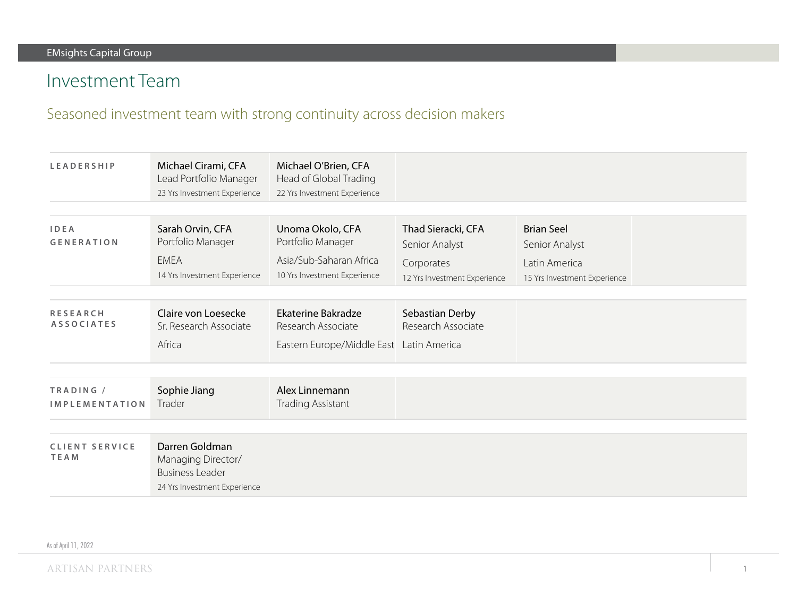# Investment Team

### Seasoned investment team with strong continuity across decision makers

| <b>LEADERSHIP</b>                    | Michael Cirami, CFA<br>Lead Portfolio Manager<br>23 Yrs Investment Experience                  | Michael O'Brien, CFA<br>Head of Global Trading<br>22 Yrs Investment Experience                   |                                                                                    |                                                                                      |  |
|--------------------------------------|------------------------------------------------------------------------------------------------|--------------------------------------------------------------------------------------------------|------------------------------------------------------------------------------------|--------------------------------------------------------------------------------------|--|
| <b>IDEA</b><br><b>GENERATION</b>     | Sarah Orvin, CFA<br>Portfolio Manager<br><b>EMEA</b><br>14 Yrs Investment Experience           | Unoma Okolo, CFA<br>Portfolio Manager<br>Asia/Sub-Saharan Africa<br>10 Yrs Investment Experience | Thad Sieracki, CFA<br>Senior Analyst<br>Corporates<br>12 Yrs Investment Experience | <b>Brian Seel</b><br>Senior Analyst<br>Latin America<br>15 Yrs Investment Experience |  |
| <b>RESEARCH</b><br><b>ASSOCIATES</b> | Claire von Loesecke<br>Sr. Research Associate<br>Africa                                        | <b>Ekaterine Bakradze</b><br>Research Associate<br>Eastern Europe/Middle East Latin America      | Sebastian Derby<br>Research Associate                                              |                                                                                      |  |
| TRADING /<br><b>IMPLEMENTATION</b>   | Sophie Jiang<br>Trader                                                                         | Alex Linnemann<br><b>Trading Assistant</b>                                                       |                                                                                    |                                                                                      |  |
| <b>CLIENT SERVICE</b><br><b>TEAM</b> | Darren Goldman<br>Managing Director/<br><b>Business Leader</b><br>24 Yrs Investment Experience |                                                                                                  |                                                                                    |                                                                                      |  |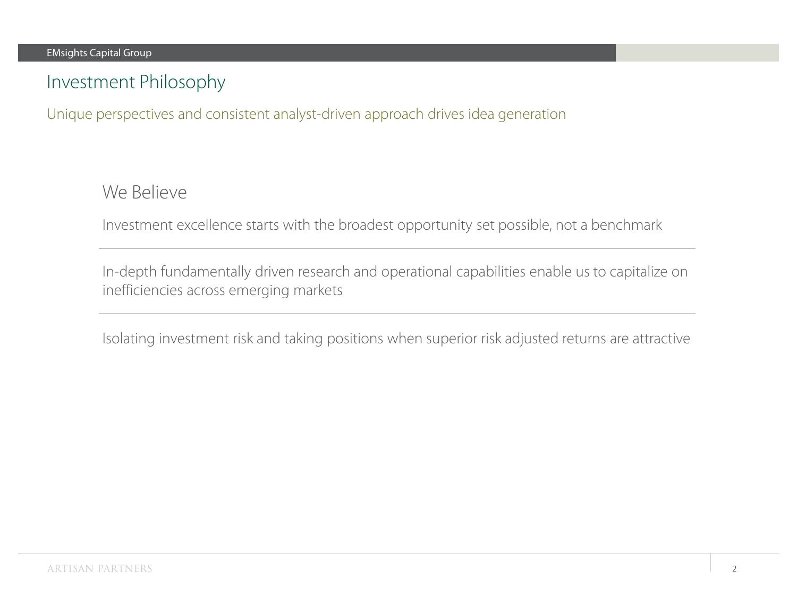# Investment Philosophy

Unique perspectives and consistent analyst-driven approach drives idea generation

We Believe

Investment excellence starts with the broadest opportunity set possible, not a benchmark

In-depth fundamentally driven research and operational capabilities enable us to capitalize on inefficiencies across emerging markets

Isolating investment risk and taking positions when superior risk adjusted returns are attractive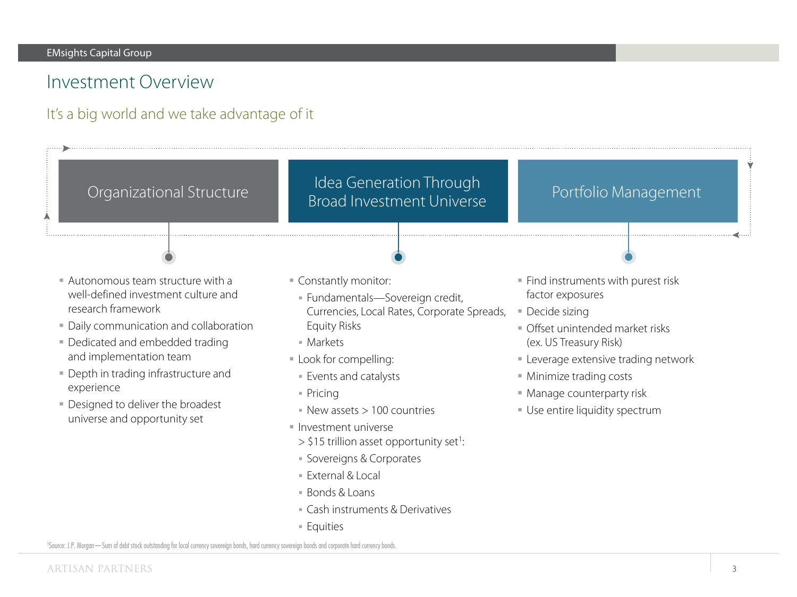### Investment Overview

### It's a big world and we take advantage of it

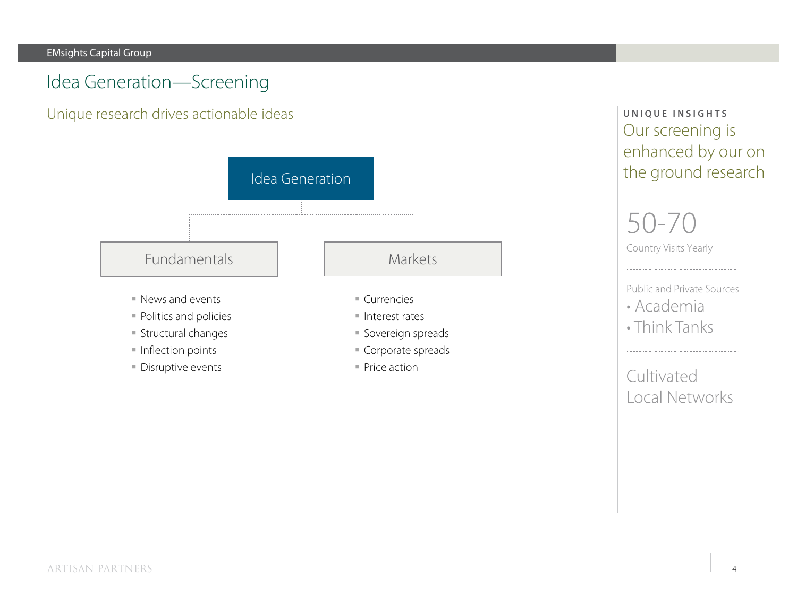### Idea Generation—Screening

Unique research drives actionable ideas



**Disruptive events** 

■ Price action

**UNIQUE INSIGHTS** Our screening is enhanced by our on the ground research

# 50-70 Country Visits Yearly

Public and Private Sources

- Academia
- Think Tanks

Cultivated Local Networks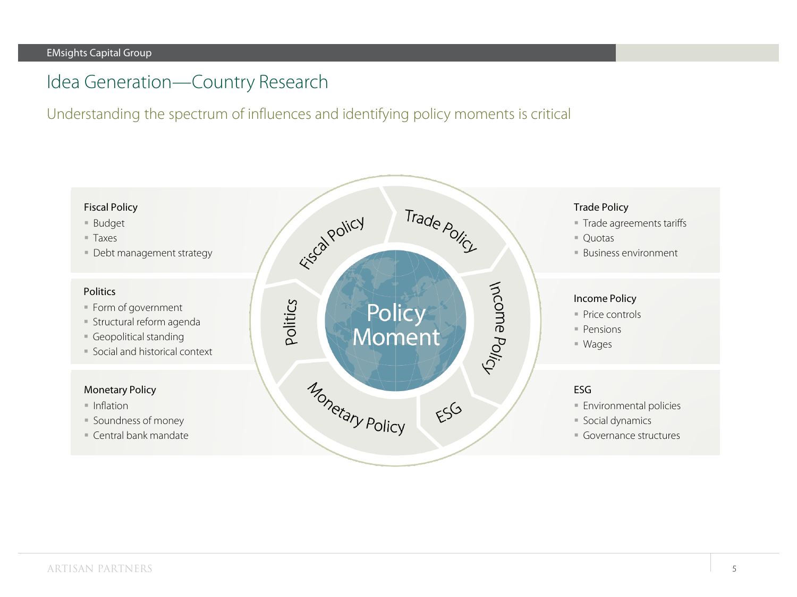### Idea Generation—Country Research

Understanding the spectrum of influences and identifying policy moments is critical

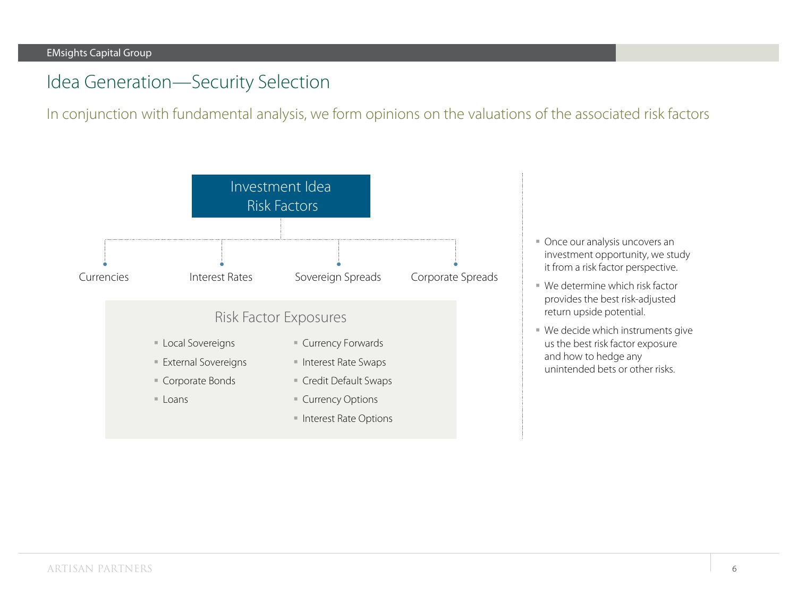### Idea Generation—Security Selection

In conjunction with fundamental analysis, we form opinions on the valuations of the associated risk factors



- Once our analysis uncovers an investment opportunity, we study it from a risk factor perspective.
- We determine which risk factor provides the best risk-adjusted return upside potential.
- We decide which instruments give us the best risk factor exposure and how to hedge any unintended bets or other risks.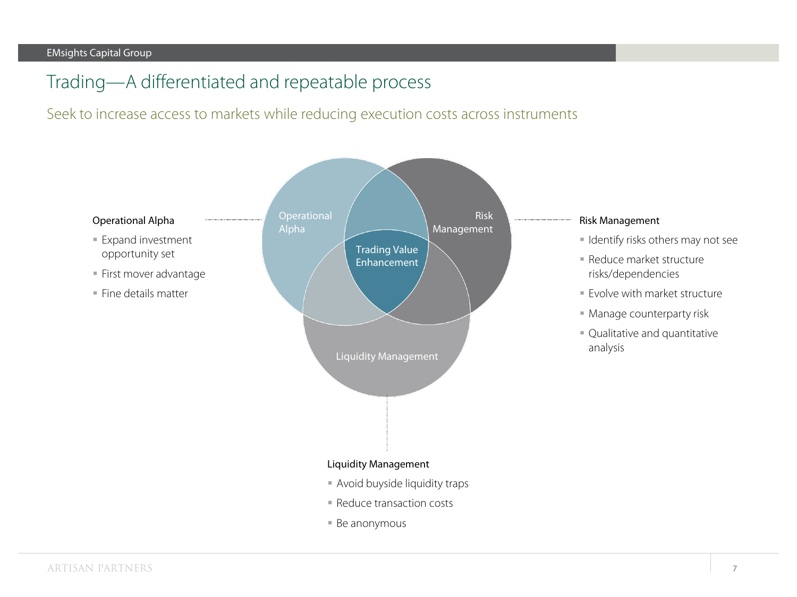# Trading—A differentiated and repeatable process

### Seek to increase access to markets while reducing execution costs across instruments

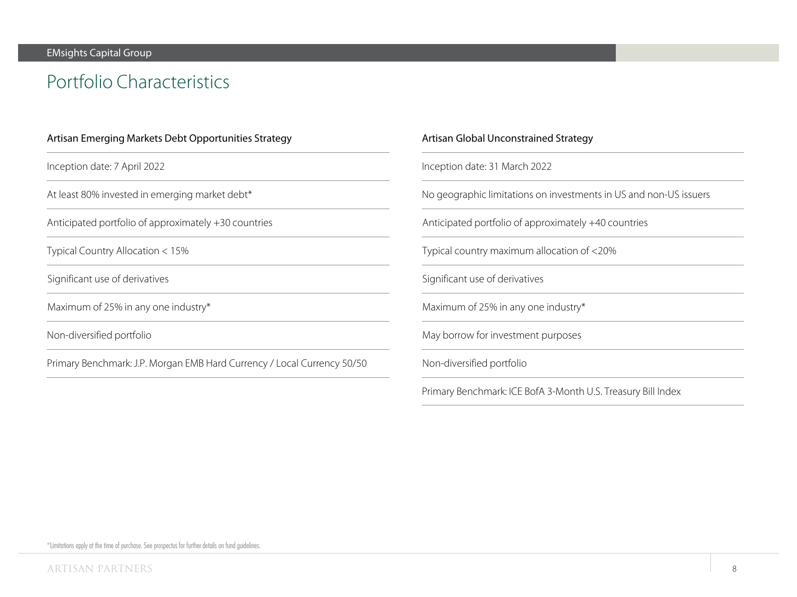# Portfolio Characteristics

| Artisan Emerging Markets Debt Opportunities Strategy                    | Artis |
|-------------------------------------------------------------------------|-------|
| Inception date: 7 April 2022                                            | Ince  |
| At least 80% invested in emerging market debt*                          | No g  |
| Anticipated portfolio of approximately +30 countries                    | Anti  |
| Typical Country Allocation < 15%                                        | Typi  |
| Significant use of derivatives                                          | Sign  |
| Maximum of 25% in any one industry*                                     | Max   |
| Non-diversified portfolio                                               | May   |
| Primary Benchmark: J.P. Morgan EMB Hard Currency / Local Currency 50/50 | Non   |
|                                                                         | Prim  |

#### san Global Unconstrained Strategy

ption date: 31 March 2022

geographic limitations on investments in US and non-US issuers

icipated portfolio of approximately +40 countries

ical country maximum allocation of <20%

ificant use of derivatives

 $m$  and of 25% in any one industry\*

borrow for investment purposes

n-diversified portfolio

hary Benchmark: ICE BofA 3-Month U.S. Treasury Bill Index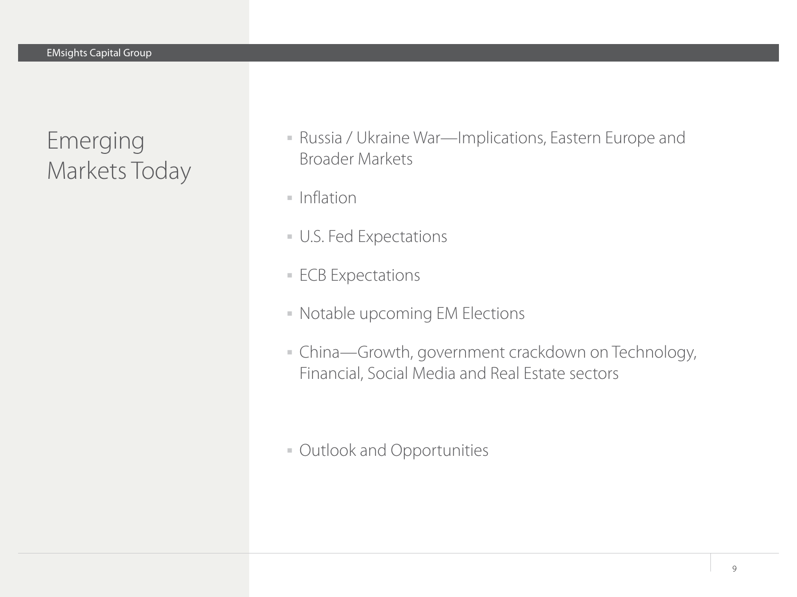Emerging Markets Today

- Russia / Ukraine War—Implications, Eastern Europe and Broader Markets
- $\blacksquare$  Inflation
- U.S. Fed Expectations
- **ECB Expectations**
- Notable upcoming EM Elections
- China—Growth, government crackdown on Technology, Financial, Social Media and Real Estate sectors
- Outlook and Opportunities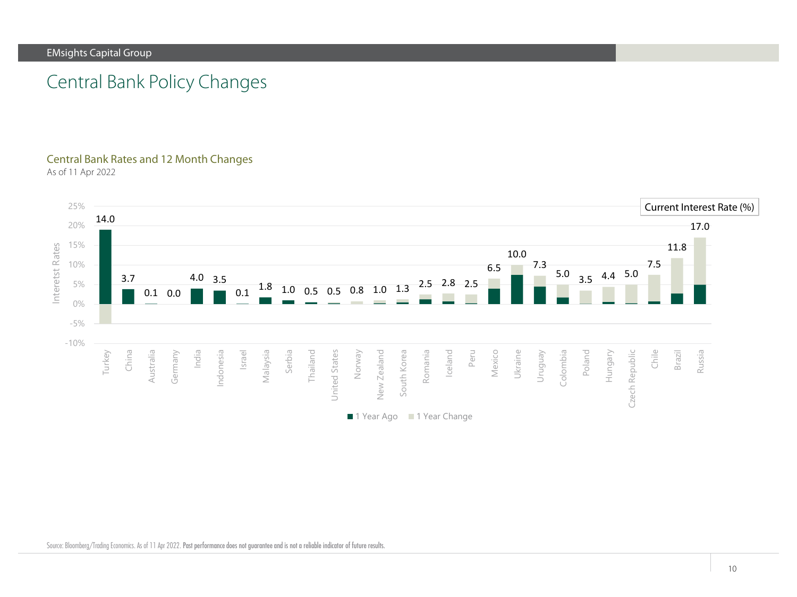# Central Bank Policy Changes

### Central Bank Rates and 12 Month Changes

As of 11 Apr 2022



Source: Bloomberg/Trading Economics. As of 11 Apr 2022. Past performance does not guarantee and is not a reliable indicator of future results.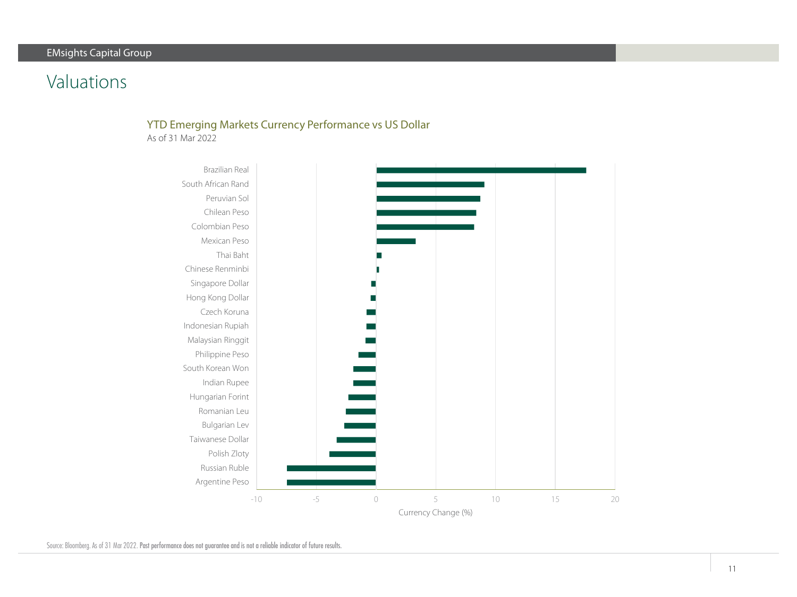# Valuations

### YTD Emerging Markets Currency Performance vs US Dollar

As of 31 Mar 2022



Source: Bloomberg. As of 31 Mar 2022. Past performance does not guarantee and is not a reliable indicator of future results.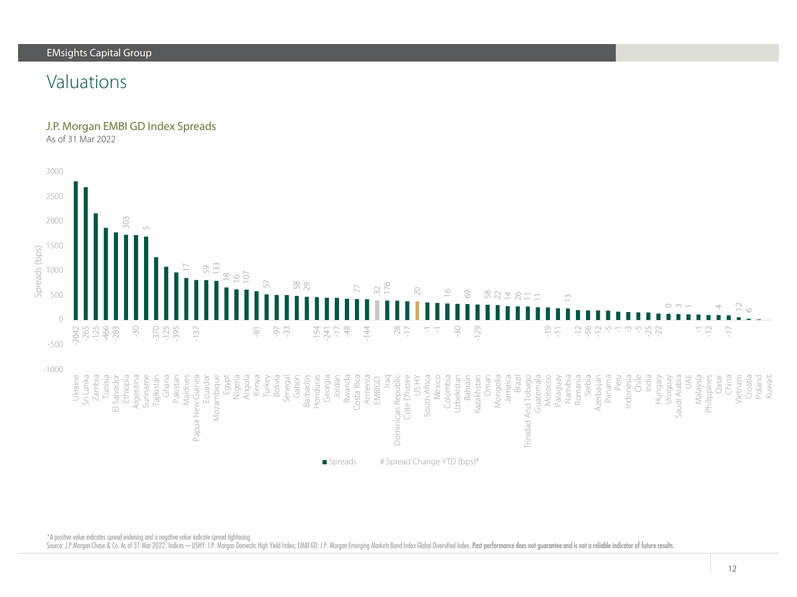### Valuations

#### J.P. Morgan EMBI GD Index Spreads

As of 31 Mar 2022



\*A positive value indicates spread widening and a negative value indicate spread tightening.

Source: J.P.Morgan Chase & Co. As of 31 Mar 2022. Indices—USHY: J.P. Morgan Domestic High Yield Index; EMBI GD: J.P. Morgan Emerging Markets Bond Index Global Diversified Index. Past performance does not guarantee and is n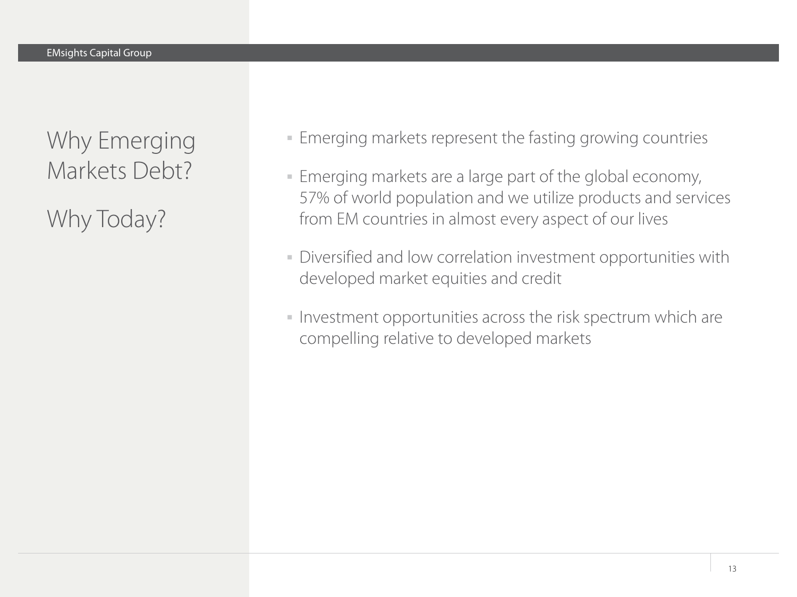Why Emerging Markets Debt?

Why Today?

- Emerging markets represent the fasting growing countries
- Emerging markets are a large part of the global economy, 57% of world population and we utilize products and services from EM countries in almost every aspect of our lives
- Diversified and low correlation investment opportunities with developed market equities and credit
- Investment opportunities across the risk spectrum which are compelling relative to developed markets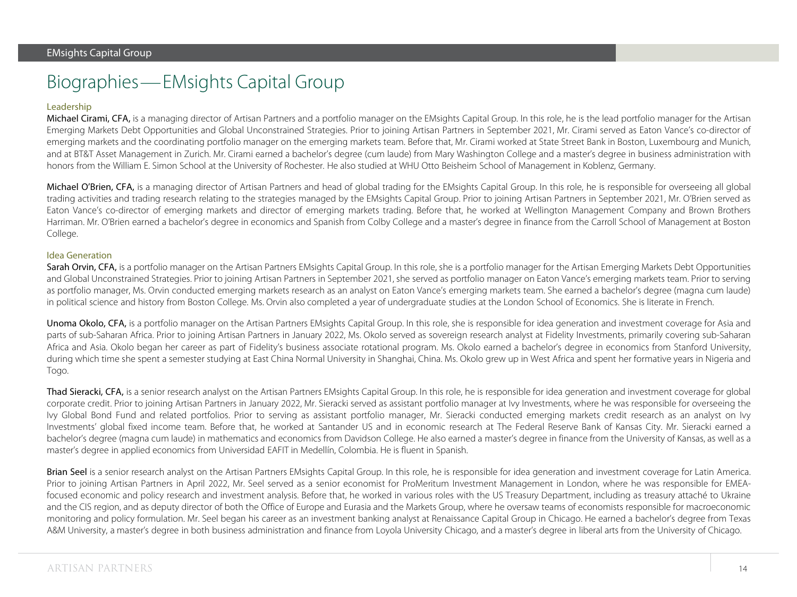# Biographies—EMsights Capital Group

#### Leadership

Michael Cirami, CFA, is a managing director of Artisan Partners and a portfolio manager on the EMsights Capital Group. In this role, he is the lead portfolio manager for the Artisan Emerging Markets Debt Opportunities and Global Unconstrained Strategies. Prior to joining Artisan Partners in September 2021, Mr. Cirami served as Eaton Vance's co-director of emerging markets and the coordinating portfolio manager on the emerging markets team. Before that, Mr. Cirami worked at State Street Bank in Boston, Luxembourg and Munich, and at BT&T Asset Management in Zurich. Mr. Cirami earned a bachelor's degree (cum laude) from Mary Washington College and a master's degree in business administration with honors from the William E. Simon School at the University of Rochester. He also studied at WHU Otto Beisheim School of Management in Koblenz, Germany.

Michael O'Brien, CFA, is a managing director of Artisan Partners and head of global trading for the EMsights Capital Group. In this role, he is responsible for overseeing all global trading activities and trading research relating to the strategies managed by the EMsights Capital Group. Prior to joining Artisan Partners in September 2021, Mr. O'Brien served as Eaton Vance's co-director of emerging markets and director of emerging markets trading. Before that, he worked at Wellington Management Company and Brown Brothers Harriman. Mr. O'Brien earned a bachelor's degree in economics and Spanish from Colby College and a master's degree in finance from the Carroll School of Management at Boston College.

#### Idea Generation

Sarah Orvin, CFA, is a portfolio manager on the Artisan Partners EMsights Capital Group. In this role, she is a portfolio manager for the Artisan Emerging Markets Debt Opportunities and Global Unconstrained Strategies. Prior to joining Artisan Partners in September 2021, she served as portfolio manager on Eaton Vance's emerging markets team. Prior to serving as portfolio manager, Ms. Orvin conducted emerging markets research as an analyst on Eaton Vance's emerging markets team. She earned a bachelor's degree (magna cum laude) in political science and history from Boston College. Ms. Orvin also completed a year of undergraduate studies at the London School of Economics. She is literate in French.

Unoma Okolo, CFA, is a portfolio manager on the Artisan Partners EMsights Capital Group. In this role, she is responsible for idea generation and investment coverage for Asia and parts of sub-Saharan Africa. Prior to joining Artisan Partners in January 2022, Ms. Okolo served as sovereign research analyst at Fidelity Investments, primarily covering sub-Saharan Africa and Asia. Okolo began her career as part of Fidelity's business associate rotational program. Ms. Okolo earned a bachelor's degree in economics from Stanford University, during which time she spent a semester studying at East China Normal University in Shanghai, China. Ms. Okolo grew up in West Africa and spent her formative years in Nigeria and Togo.

Thad Sieracki, CFA, is a senior research analyst on the Artisan Partners EMsights Capital Group. In this role, he is responsible for idea generation and investment coverage for global corporate credit. Prior to joining Artisan Partners in January 2022, Mr. Sieracki served as assistant portfolio manager at Ivy Investments, where he was responsible for overseeing the Ivy Global Bond Fund and related portfolios. Prior to serving as assistant portfolio manager, Mr. Sieracki conducted emerging markets credit research as an analyst on Ivy Investments' global fixed income team. Before that, he worked at Santander US and in economic research at The Federal Reserve Bank of Kansas City. Mr. Sieracki earned a bachelor's degree (magna cum laude) in mathematics and economics from Davidson College. He also earned a master's degree in finance from the University of Kansas, as well as a master's degree in applied economics from Universidad EAFIT in Medellín, Colombia. He is fluent in Spanish.

Brian Seel is a senior research analyst on the Artisan Partners EMsights Capital Group. In this role, he is responsible for idea generation and investment coverage for Latin America. Prior to joining Artisan Partners in April 2022, Mr. Seel served as a senior economist for ProMeritum Investment Management in London, where he was responsible for EMEAfocused economic and policy research and investment analysis. Before that, he worked in various roles with the US Treasury Department, including as treasury attaché to Ukraine and the CIS region, and as deputy director of both the Office of Europe and Eurasia and the Markets Group, where he oversaw teams of economists responsible for macroeconomic monitoring and policy formulation. Mr. Seel began his career as an investment banking analyst at Renaissance Capital Group in Chicago. He earned a bachelor's degree from Texas A&M University, a master's degree in both business administration and finance from Loyola University Chicago, and a master's degree in liberal arts from the University of Chicago.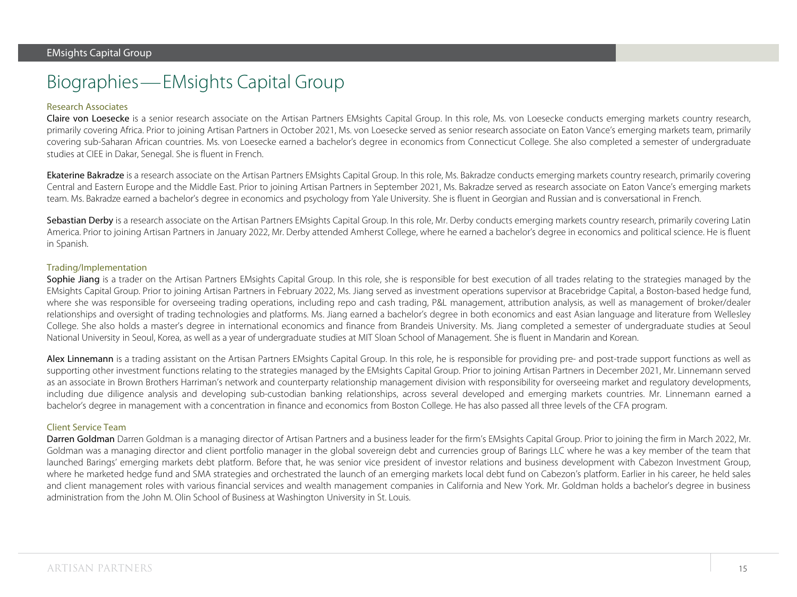# Biographies—EMsights Capital Group

#### Research Associates

Claire von Loesecke is a senior research associate on the Artisan Partners EMsights Capital Group. In this role, Ms. von Loesecke conducts emerging markets country research, primarily covering Africa. Prior to joining Artisan Partners in October 2021, Ms. von Loesecke served as senior research associate on Eaton Vance's emerging markets team, primarily covering sub-Saharan African countries. Ms. von Loesecke earned a bachelor's degree in economics from Connecticut College. She also completed a semester of undergraduate studies at CIEE in Dakar, Senegal. She is fluent in French.

Ekaterine Bakradze is a research associate on the Artisan Partners EMsights Capital Group. In this role, Ms. Bakradze conducts emerging markets country research, primarily covering Central and Eastern Europe and the Middle East. Prior to joining Artisan Partners in September 2021, Ms. Bakradze served as research associate on Eaton Vance's emerging markets team. Ms. Bakradze earned a bachelor's degree in economics and psychology from Yale University. She is fluent in Georgian and Russian and is conversational in French.

Sebastian Derby is a research associate on the Artisan Partners EMsights Capital Group. In this role, Mr. Derby conducts emerging markets country research, primarily covering Latin America. Prior to joining Artisan Partners in January 2022, Mr. Derby attended Amherst College, where he earned a bachelor's degree in economics and political science. He is fluent in Spanish.

#### Trading/Implementation

Sophie Jiang is a trader on the Artisan Partners EMsights Capital Group. In this role, she is responsible for best execution of all trades relating to the strategies managed by the EMsights Capital Group. Prior to joining Artisan Partners in February 2022, Ms. Jiang served as investment operations supervisor at Bracebridge Capital, a Boston-based hedge fund, where she was responsible for overseeing trading operations, including repo and cash trading, P&L management, attribution analysis, as well as management of broker/dealer relationships and oversight of trading technologies and platforms. Ms. Jiang earned a bachelor's degree in both economics and east Asian language and literature from Wellesley College. She also holds a master's degree in international economics and finance from Brandeis University. Ms. Jiang completed a semester of undergraduate studies at Seoul National University in Seoul, Korea, as well as a year of undergraduate studies at MIT Sloan School of Management. She is fluent in Mandarin and Korean.

Alex Linnemann is a trading assistant on the Artisan Partners EMsights Capital Group. In this role, he is responsible for providing pre- and post-trade support functions as well as supporting other investment functions relating to the strategies managed by the EMsights Capital Group. Prior to joining Artisan Partners in December 2021, Mr. Linnemann served as an associate in Brown Brothers Harriman's network and counterparty relationship management division with responsibility for overseeing market and regulatory developments, including due diligence analysis and developing sub-custodian banking relationships, across several developed and emerging markets countries. Mr. Linnemann earned a bachelor's degree in management with a concentration in finance and economics from Boston College. He has also passed all three levels of the CFA program.

#### Client Service Team

Darren Goldman Darren Goldman is a managing director of Artisan Partners and a business leader for the firm's EMsights Capital Group. Prior to joining the firm in March 2022, Mr. Goldman was a managing director and client portfolio manager in the global sovereign debt and currencies group of Barings LLC where he was a key member of the team that launched Barings' emerging markets debt platform. Before that, he was senior vice president of investor relations and business development with Cabezon Investment Group, where he marketed hedge fund and SMA strategies and orchestrated the launch of an emerging markets local debt fund on Cabezon's platform. Earlier in his career, he held sales and client management roles with various financial services and wealth management companies in California and New York. Mr. Goldman holds a bachelor's degree in business administration from the John M. Olin School of Business at Washington University in St. Louis.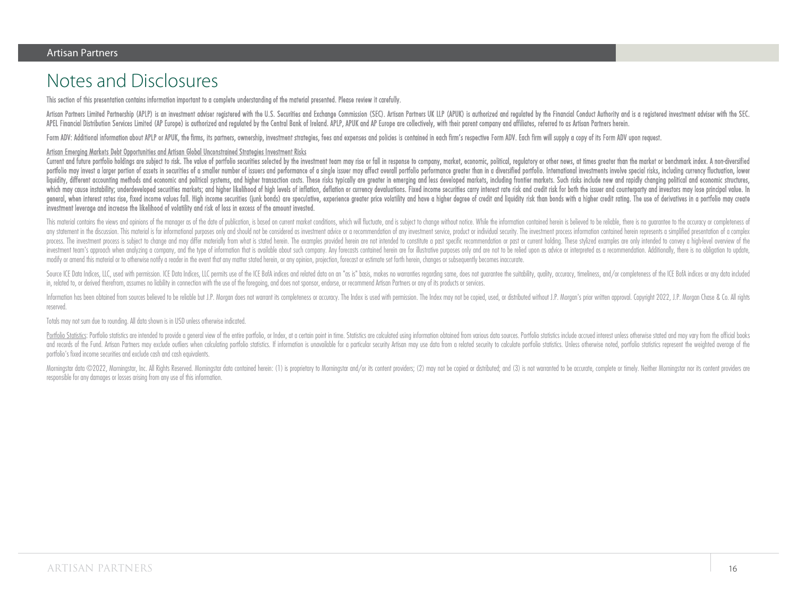### Notes and Disclosures

This section of this presentation contains information important to a complete understanding of the material presented. Please review it carefully.

Artisan Partners Limited Partnership (APLP) is an investment adviser registered with the U.S. Securities and Exchange Commission (SEC). Artisan Partners UK LLP (APUK) is authorized and regulated by the Financial Conduct Au APEL Financial Distribution Services Limited (AP Europe) is authorized and reaulated by the Central Bank of Ireland, APLP, APUK and AP Europe are collectively, with their parent company and affiliates, referred to as Artis

Form ADV: Additional information about APLP or APUK, the firms, its partners, ownership, investment strategies, fees and expenses and policies is contained in each firm's respective Form ADV. Each firm will supply a copy o

#### Artisan Emerging Markets Debt Opportunities and Artisan Global Unconstrained Strategies Investment Risks

Current and future portfolio holdings are subject to risk. The value of portfolio securities selected by the investment team may rise or fall in response to company, market, economic, political, reaulatory or other news, a portfolio may invest a larger portion of assets in securities of a smaller number of issuers and performance of a single issuer may affect overall portfolio performance greater than in a diversified portfolio. Internationa liquidity, different accounting methods and economic and political systems, and higher transaction costs. These risks typically are areater in emerging and less developed markets, including frontier markets. Such risks inc which may cause instability; underdeveloped securities markets; and higher likelihood of high levels of inflation, deflation or currency devaluations. Fixed income securities carry interest rate risk and credit risk for bo general, when interest rates rise, fixed income values fall. High income securities (junk bonds) are speculative, experience greater price volatility and have a higher degree of credit and liquidity risk than bonds with a investment leverage and increase the likelihood of volatility and risk of loss in excess of the amount invested.

This material contains the views and opinions of the manager as of the date of publication, is based on current market conditions, which will fluctuate, and is subject to change without notice. While the information contai ony statement in the discussion. This material is for informational purposes only and should not be considered as investment advice or a recommendation of any investment service, product or individual security. The investm process. The investment process is subject to change and may differ materially from what is stated herein. The examples provided herein are not intended to constitute a past specific recommendation or past or current holdi investment team's approach when analyzing a company, and the type of information that is available about such company. Any forecasts contained herein are for illustrative purposes only and are not to be relied upon as advi modify or amend this material or to otherwisenotify a reader in the event that any matter statedherein, or any opinion, projection, forecastor estimate set forth herein, changes or subsequently becomes inaccurate.

Source ICE Data Indices. LLC. used with permission. ICE Data Indices. LLC permits use of the ICE BofA indices and related data on an "as is" basis, makes no warranties reaarding same, does not augrantee the suitability, au in, related to, or derived therefrom,assumes no liability in connection with the use of the foregoing, and does not sponsor, endorse, or recommend Artisan Partners or any of its products or services.

Information has been obtained from sources believed to be reliable but J.P. Moraan does not warrant its completeness or accuracy. The Index is used with nermission. The Index may not be conied, used, or distributed without reserved.

Totals may not sum due to rounding. All data shown is in USD unless otherwise indicated.

Portfolio Statistics: Portfolio statistics are intended to provide a general view of the entire portfolio, or Index, at a certain point in time. Statistics are calculated using information obtained from various data source and records of the Fund. Artisan Partners may exclude outliers when calculating portfolio statistics. If information is ungvailable for a particular security Artisan may use data from a related security to calculate portfo portfolio's fixed income securities and exclude cash and cash equivalents.

Morninastar data ©2022. Morninastar, Inc. All Rights Reserved. Morninastar data contained herein: (1) is proprietary to Morninastar and/or its content providers: (2) may not be copied or distributed: and (3) is not warrant responsible for any damages or losses arising from any use of this information.